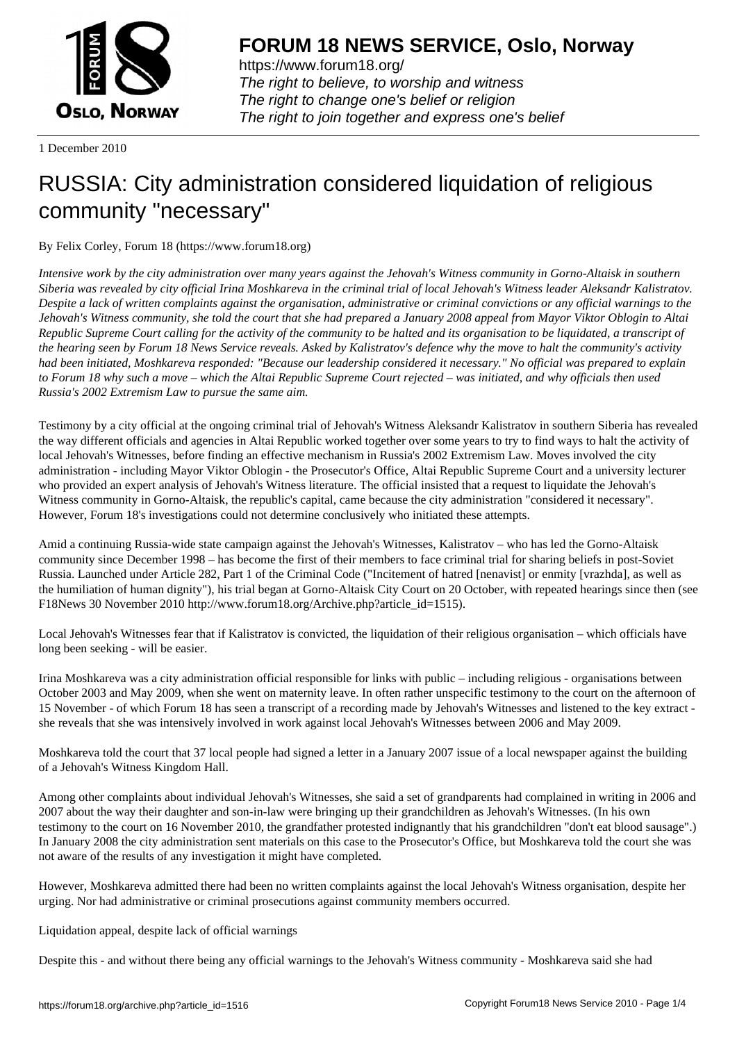

https://www.forum18.org/ The right to believe, to worship and witness The right to change one's belief or religion [The right to join together a](https://www.forum18.org/)nd express one's belief

1 December 2010

## [RUSSIA: City a](https://www.forum18.org)dministration considered liquidation of religious community "necessary"

By Felix Corley, Forum 18 (https://www.forum18.org)

*Intensive work by the city administration over many years against the Jehovah's Witness community in Gorno-Altaisk in southern Siberia was revealed by city official Irina Moshkareva in the criminal trial of local Jehovah's Witness leader Aleksandr Kalistratov. Despite a lack of written complaints against the organisation, administrative or criminal convictions or any official warnings to the Jehovah's Witness community, she told the court that she had prepared a January 2008 appeal from Mayor Viktor Oblogin to Altai Republic Supreme Court calling for the activity of the community to be halted and its organisation to be liquidated, a transcript of the hearing seen by Forum 18 News Service reveals. Asked by Kalistratov's defence why the move to halt the community's activity had been initiated, Moshkareva responded: "Because our leadership considered it necessary." No official was prepared to explain to Forum 18 why such a move – which the Altai Republic Supreme Court rejected – was initiated, and why officials then used Russia's 2002 Extremism Law to pursue the same aim.*

Testimony by a city official at the ongoing criminal trial of Jehovah's Witness Aleksandr Kalistratov in southern Siberia has revealed the way different officials and agencies in Altai Republic worked together over some years to try to find ways to halt the activity of local Jehovah's Witnesses, before finding an effective mechanism in Russia's 2002 Extremism Law. Moves involved the city administration - including Mayor Viktor Oblogin - the Prosecutor's Office, Altai Republic Supreme Court and a university lecturer who provided an expert analysis of Jehovah's Witness literature. The official insisted that a request to liquidate the Jehovah's Witness community in Gorno-Altaisk, the republic's capital, came because the city administration "considered it necessary". However, Forum 18's investigations could not determine conclusively who initiated these attempts.

Amid a continuing Russia-wide state campaign against the Jehovah's Witnesses, Kalistratov – who has led the Gorno-Altaisk community since December 1998 – has become the first of their members to face criminal trial for sharing beliefs in post-Soviet Russia. Launched under Article 282, Part 1 of the Criminal Code ("Incitement of hatred [nenavist] or enmity [vrazhda], as well as the humiliation of human dignity"), his trial began at Gorno-Altaisk City Court on 20 October, with repeated hearings since then (see F18News 30 November 2010 http://www.forum18.org/Archive.php?article\_id=1515).

Local Jehovah's Witnesses fear that if Kalistratov is convicted, the liquidation of their religious organisation – which officials have long been seeking - will be easier.

Irina Moshkareva was a city administration official responsible for links with public – including religious - organisations between October 2003 and May 2009, when she went on maternity leave. In often rather unspecific testimony to the court on the afternoon of 15 November - of which Forum 18 has seen a transcript of a recording made by Jehovah's Witnesses and listened to the key extract she reveals that she was intensively involved in work against local Jehovah's Witnesses between 2006 and May 2009.

Moshkareva told the court that 37 local people had signed a letter in a January 2007 issue of a local newspaper against the building of a Jehovah's Witness Kingdom Hall.

Among other complaints about individual Jehovah's Witnesses, she said a set of grandparents had complained in writing in 2006 and 2007 about the way their daughter and son-in-law were bringing up their grandchildren as Jehovah's Witnesses. (In his own testimony to the court on 16 November 2010, the grandfather protested indignantly that his grandchildren "don't eat blood sausage".) In January 2008 the city administration sent materials on this case to the Prosecutor's Office, but Moshkareva told the court she was not aware of the results of any investigation it might have completed.

However, Moshkareva admitted there had been no written complaints against the local Jehovah's Witness organisation, despite her urging. Nor had administrative or criminal prosecutions against community members occurred.

Liquidation appeal, despite lack of official warnings

Despite this - and without there being any official warnings to the Jehovah's Witness community - Moshkareva said she had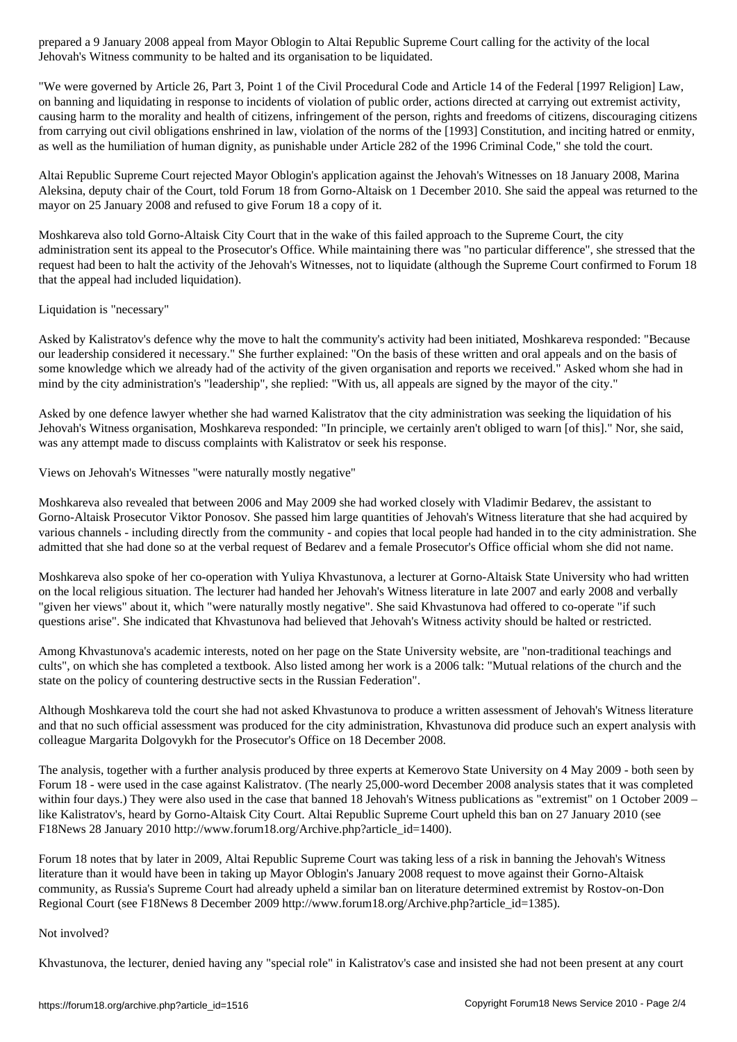"We were governed by Article 26, Part 3, Point 1 of the Civil Procedural Code and Article 14 of the Federal [1997 Religion] Law, on banning and liquidating in response to incidents of violation of public order, actions directed at carrying out extremist activity, causing harm to the morality and health of citizens, infringement of the person, rights and freedoms of citizens, discouraging citizens from carrying out civil obligations enshrined in law, violation of the norms of the [1993] Constitution, and inciting hatred or enmity, as well as the humiliation of human dignity, as punishable under Article 282 of the 1996 Criminal Code," she told the court.

Altai Republic Supreme Court rejected Mayor Oblogin's application against the Jehovah's Witnesses on 18 January 2008, Marina Aleksina, deputy chair of the Court, told Forum 18 from Gorno-Altaisk on 1 December 2010. She said the appeal was returned to the mayor on 25 January 2008 and refused to give Forum 18 a copy of it.

Moshkareva also told Gorno-Altaisk City Court that in the wake of this failed approach to the Supreme Court, the city administration sent its appeal to the Prosecutor's Office. While maintaining there was "no particular difference", she stressed that the request had been to halt the activity of the Jehovah's Witnesses, not to liquidate (although the Supreme Court confirmed to Forum 18 that the appeal had included liquidation).

## Liquidation is "necessary"

Asked by Kalistratov's defence why the move to halt the community's activity had been initiated, Moshkareva responded: "Because our leadership considered it necessary." She further explained: "On the basis of these written and oral appeals and on the basis of some knowledge which we already had of the activity of the given organisation and reports we received." Asked whom she had in mind by the city administration's "leadership", she replied: "With us, all appeals are signed by the mayor of the city."

Asked by one defence lawyer whether she had warned Kalistratov that the city administration was seeking the liquidation of his Jehovah's Witness organisation, Moshkareva responded: "In principle, we certainly aren't obliged to warn [of this]." Nor, she said, was any attempt made to discuss complaints with Kalistratov or seek his response.

Views on Jehovah's Witnesses "were naturally mostly negative"

Jehovah's Witness community to be halted and its organisation to be liquidated.

Moshkareva also revealed that between 2006 and May 2009 she had worked closely with Vladimir Bedarev, the assistant to Gorno-Altaisk Prosecutor Viktor Ponosov. She passed him large quantities of Jehovah's Witness literature that she had acquired by various channels - including directly from the community - and copies that local people had handed in to the city administration. She admitted that she had done so at the verbal request of Bedarev and a female Prosecutor's Office official whom she did not name.

Moshkareva also spoke of her co-operation with Yuliya Khvastunova, a lecturer at Gorno-Altaisk State University who had written on the local religious situation. The lecturer had handed her Jehovah's Witness literature in late 2007 and early 2008 and verbally "given her views" about it, which "were naturally mostly negative". She said Khvastunova had offered to co-operate "if such questions arise". She indicated that Khvastunova had believed that Jehovah's Witness activity should be halted or restricted.

Among Khvastunova's academic interests, noted on her page on the State University website, are "non-traditional teachings and cults", on which she has completed a textbook. Also listed among her work is a 2006 talk: "Mutual relations of the church and the state on the policy of countering destructive sects in the Russian Federation".

Although Moshkareva told the court she had not asked Khvastunova to produce a written assessment of Jehovah's Witness literature and that no such official assessment was produced for the city administration, Khvastunova did produce such an expert analysis with colleague Margarita Dolgovykh for the Prosecutor's Office on 18 December 2008.

The analysis, together with a further analysis produced by three experts at Kemerovo State University on 4 May 2009 - both seen by Forum 18 - were used in the case against Kalistratov. (The nearly 25,000-word December 2008 analysis states that it was completed within four days.) They were also used in the case that banned 18 Jehovah's Witness publications as "extremist" on 1 October 2009 – like Kalistratov's, heard by Gorno-Altaisk City Court. Altai Republic Supreme Court upheld this ban on 27 January 2010 (see F18News 28 January 2010 http://www.forum18.org/Archive.php?article\_id=1400).

Forum 18 notes that by later in 2009, Altai Republic Supreme Court was taking less of a risk in banning the Jehovah's Witness literature than it would have been in taking up Mayor Oblogin's January 2008 request to move against their Gorno-Altaisk community, as Russia's Supreme Court had already upheld a similar ban on literature determined extremist by Rostov-on-Don Regional Court (see F18News 8 December 2009 http://www.forum18.org/Archive.php?article\_id=1385).

## Not involved?

Khvastunova, the lecturer, denied having any "special role" in Kalistratov's case and insisted she had not been present at any court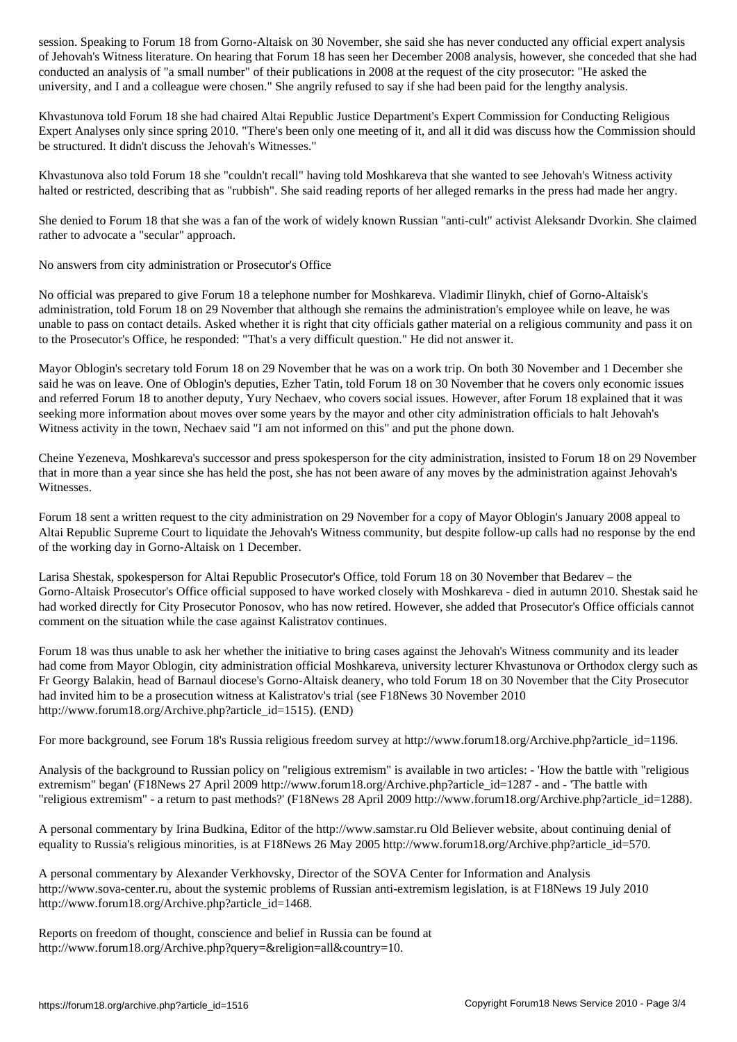of Jehovah's Witness literature. On hearing that Forum 18 has seen her December 2008 and she conceded that she conducted an analysis of "a small number" of their publications in 2008 at the request of the city prosecutor: "He asked the university, and I and a colleague were chosen." She angrily refused to say if she had been paid for the lengthy analysis.

Khvastunova told Forum 18 she had chaired Altai Republic Justice Department's Expert Commission for Conducting Religious Expert Analyses only since spring 2010. "There's been only one meeting of it, and all it did was discuss how the Commission should be structured. It didn't discuss the Jehovah's Witnesses."

Khvastunova also told Forum 18 she "couldn't recall" having told Moshkareva that she wanted to see Jehovah's Witness activity halted or restricted, describing that as "rubbish". She said reading reports of her alleged remarks in the press had made her angry.

She denied to Forum 18 that she was a fan of the work of widely known Russian "anti-cult" activist Aleksandr Dvorkin. She claimed rather to advocate a "secular" approach.

No answers from city administration or Prosecutor's Office

No official was prepared to give Forum 18 a telephone number for Moshkareva. Vladimir Ilinykh, chief of Gorno-Altaisk's administration, told Forum 18 on 29 November that although she remains the administration's employee while on leave, he was unable to pass on contact details. Asked whether it is right that city officials gather material on a religious community and pass it on to the Prosecutor's Office, he responded: "That's a very difficult question." He did not answer it.

Mayor Oblogin's secretary told Forum 18 on 29 November that he was on a work trip. On both 30 November and 1 December she said he was on leave. One of Oblogin's deputies, Ezher Tatin, told Forum 18 on 30 November that he covers only economic issues and referred Forum 18 to another deputy, Yury Nechaev, who covers social issues. However, after Forum 18 explained that it was seeking more information about moves over some years by the mayor and other city administration officials to halt Jehovah's Witness activity in the town, Nechaev said "I am not informed on this" and put the phone down.

Cheine Yezeneva, Moshkareva's successor and press spokesperson for the city administration, insisted to Forum 18 on 29 November that in more than a year since she has held the post, she has not been aware of any moves by the administration against Jehovah's Witnesses.

Forum 18 sent a written request to the city administration on 29 November for a copy of Mayor Oblogin's January 2008 appeal to Altai Republic Supreme Court to liquidate the Jehovah's Witness community, but despite follow-up calls had no response by the end of the working day in Gorno-Altaisk on 1 December.

Larisa Shestak, spokesperson for Altai Republic Prosecutor's Office, told Forum 18 on 30 November that Bedarev – the Gorno-Altaisk Prosecutor's Office official supposed to have worked closely with Moshkareva - died in autumn 2010. Shestak said he had worked directly for City Prosecutor Ponosov, who has now retired. However, she added that Prosecutor's Office officials cannot comment on the situation while the case against Kalistratov continues.

Forum 18 was thus unable to ask her whether the initiative to bring cases against the Jehovah's Witness community and its leader had come from Mayor Oblogin, city administration official Moshkareva, university lecturer Khvastunova or Orthodox clergy such as Fr Georgy Balakin, head of Barnaul diocese's Gorno-Altaisk deanery, who told Forum 18 on 30 November that the City Prosecutor had invited him to be a prosecution witness at Kalistratov's trial (see F18News 30 November 2010 http://www.forum18.org/Archive.php?article\_id=1515). (END)

For more background, see Forum 18's Russia religious freedom survey at http://www.forum18.org/Archive.php?article\_id=1196.

Analysis of the background to Russian policy on "religious extremism" is available in two articles: - 'How the battle with "religious extremism" began' (F18News 27 April 2009 http://www.forum18.org/Archive.php?article\_id=1287 - and - 'The battle with "religious extremism" - a return to past methods?' (F18News 28 April 2009 http://www.forum18.org/Archive.php?article\_id=1288).

A personal commentary by Irina Budkina, Editor of the http://www.samstar.ru Old Believer website, about continuing denial of equality to Russia's religious minorities, is at F18News 26 May 2005 http://www.forum18.org/Archive.php?article\_id=570.

A personal commentary by Alexander Verkhovsky, Director of the SOVA Center for Information and Analysis http://www.sova-center.ru, about the systemic problems of Russian anti-extremism legislation, is at F18News 19 July 2010 http://www.forum18.org/Archive.php?article\_id=1468.

Reports on freedom of thought, conscience and belief in Russia can be found at http://www.forum18.org/Archive.php?query=&religion=all&country=10.